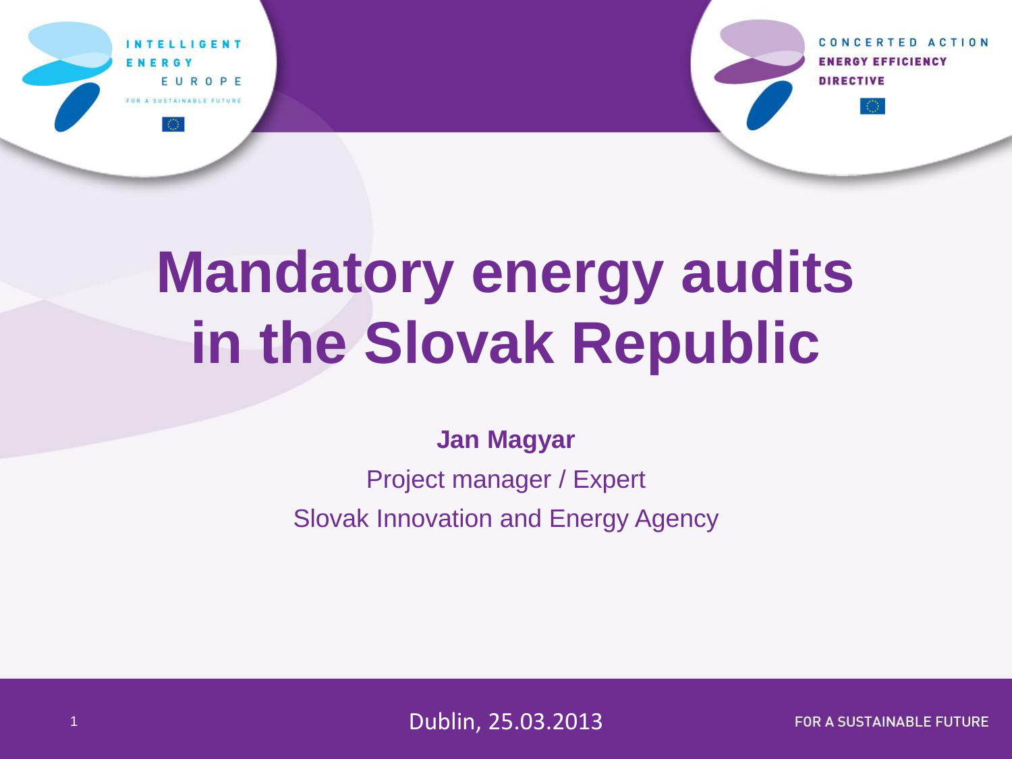

CONCERTED ACTION **ENERGY EFFICIENCY DIRECTIVE** 

# **Mandatory energy audits in the Slovak Republic**

#### **Jan Magyar**

Project manager / Expert Slovak Innovation and Energy Agency

<sup>1</sup> Dublin, 25.03.2013

**FOR A SUSTAINABLE FUTURE**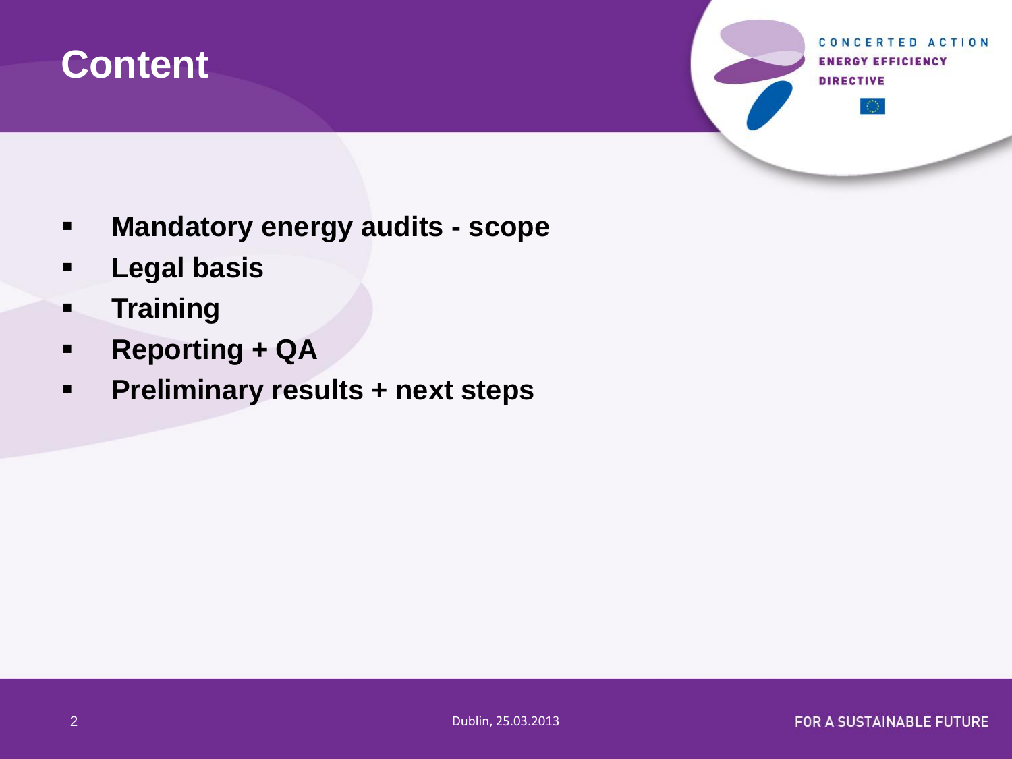

CONCERTED ACTION **ENERGY EFFICIENCY DIRECTIVE** 

- **Mandatory energy audits - scope**
- **Legal basis**
- **Training**
- **Reporting + QA**
- **Preliminary results + next steps**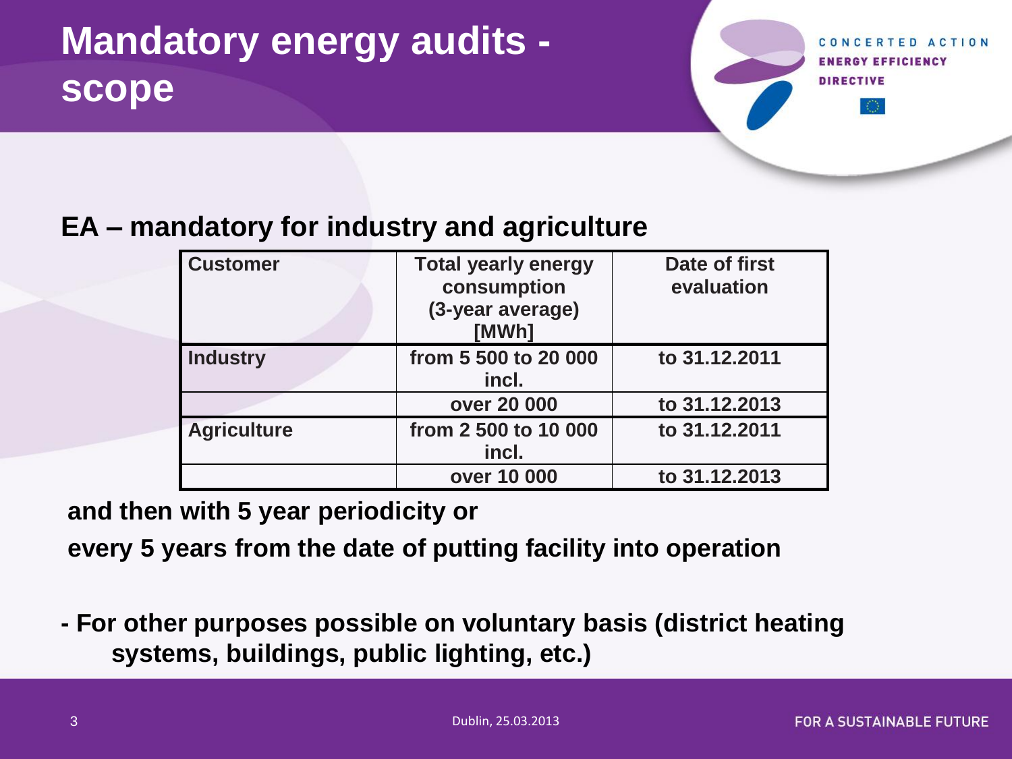## **Mandatory energy audits scope**

**GY EFFICIENCY** 

#### **EA – mandatory for industry and agriculture**

| <b>Customer</b>    | <b>Total yearly energy</b><br>consumption<br>(3-year average)<br>[MWh] | Date of first<br>evaluation |
|--------------------|------------------------------------------------------------------------|-----------------------------|
| <b>Industry</b>    | from 5 500 to 20 000<br>incl.                                          | to 31.12.2011               |
|                    | over 20 000                                                            | to 31.12.2013               |
| <b>Agriculture</b> | from 2 500 to 10 000<br>incl.                                          | to 31.12.2011               |
|                    | over 10 000                                                            | to 31.12.2013               |

**and then with 5 year periodicity or** 

**every 5 years from the date of putting facility into operation**

**- For other purposes possible on voluntary basis (district heating systems, buildings, public lighting, etc.)**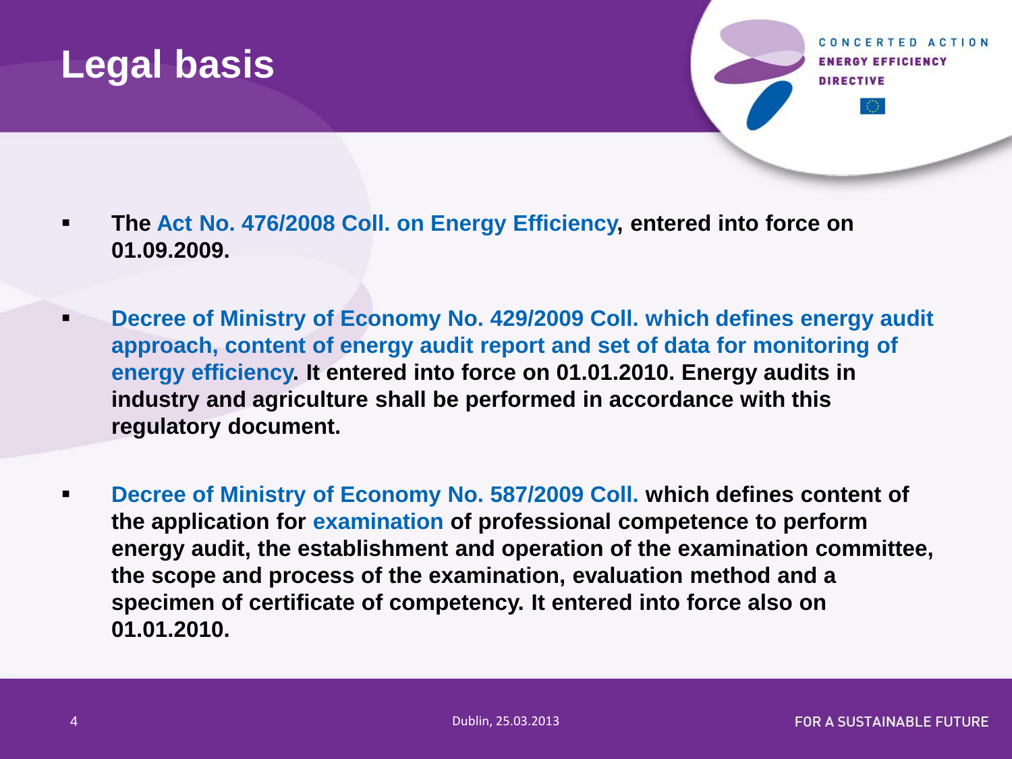#### **Legal basis**

CONCERTED ACTION **ENERGY EFFICIENCY DIRECTIVE** 

- **The Act No. 476/2008 Coll. on Energy Efficiency, entered into force on 01.09.2009.**
- **Decree of Ministry of Economy No. 429/2009 Coll. which defines energy audit approach, content of energy audit report and set of data for monitoring of energy efficiency. It entered into force on 01.01.2010. Energy audits in industry and agriculture shall be performed in accordance with this regulatory document.**
- **Decree of Ministry of Economy No. 587/2009 Coll. which defines content of the application for examination of professional competence to perform energy audit, the establishment and operation of the examination committee, the scope and process of the examination, evaluation method and a specimen of certificate of competency. It entered into force also on 01.01.2010.**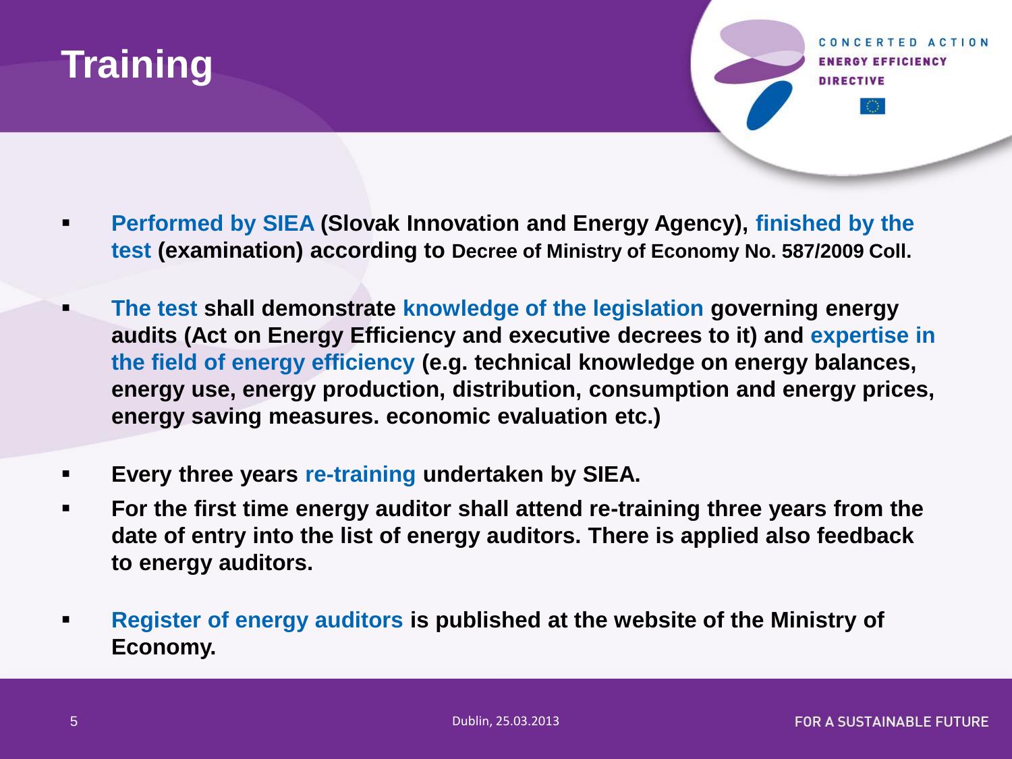

CONCERTED ACTION **ENERGY EFFICIENCY DIRECTIVE** 

- **Performed by SIEA (Slovak Innovation and Energy Agency), finished by the test (examination) according to Decree of Ministry of Economy No. 587/2009 Coll.**
- **The test shall demonstrate knowledge of the legislation governing energy audits (Act on Energy Efficiency and executive decrees to it) and expertise in the field of energy efficiency (e.g. technical knowledge on energy balances, energy use, energy production, distribution, consumption and energy prices, energy saving measures. economic evaluation etc.)**
- **Every three years re-training undertaken by SIEA.**
- **For the first time energy auditor shall attend re-training three years from the date of entry into the list of energy auditors. There is applied also feedback to energy auditors.**
- **Register of energy auditors is published at the website of the Ministry of Economy.**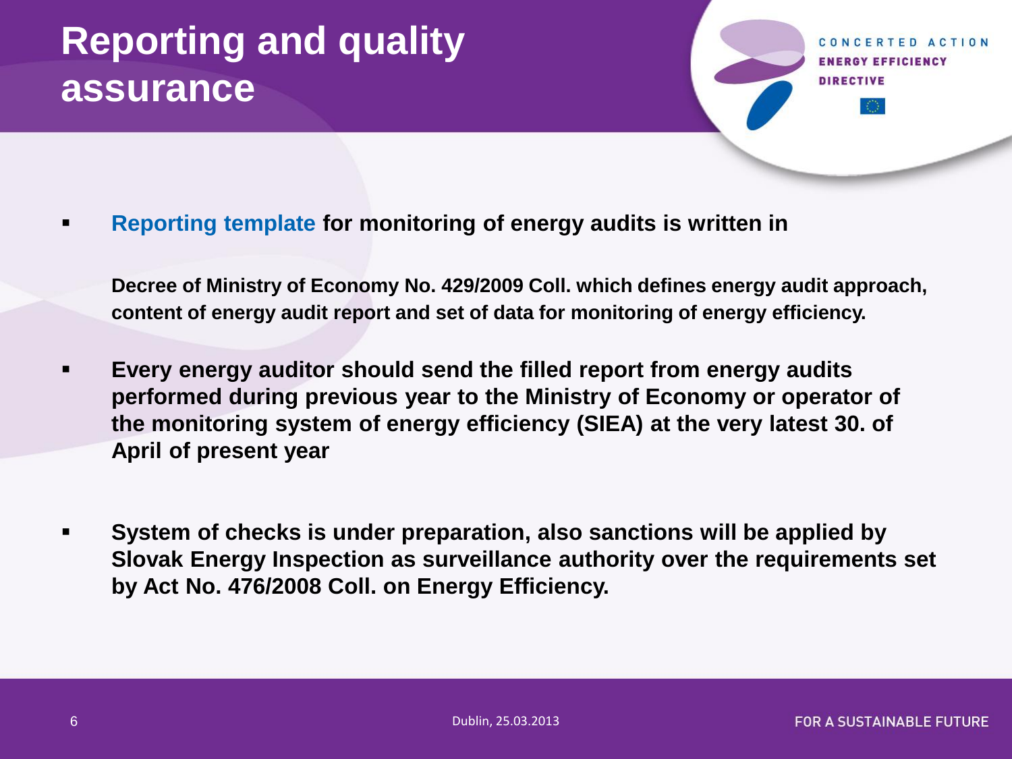## **Reporting and quality assurance**

CONCERTED ACTION **ENERGY EFFICIENCY DIRECTIVE** 

**Reporting template for monitoring of energy audits is written in** 

**Decree of Ministry of Economy No. 429/2009 Coll. which defines energy audit approach, content of energy audit report and set of data for monitoring of energy efficiency.**

- **Every energy auditor should send the filled report from energy audits performed during previous year to the Ministry of Economy or operator of the monitoring system of energy efficiency (SIEA) at the very latest 30. of April of present year**
- **System of checks is under preparation, also sanctions will be applied by Slovak Energy Inspection as surveillance authority over the requirements set by Act No. 476/2008 Coll. on Energy Efficiency.**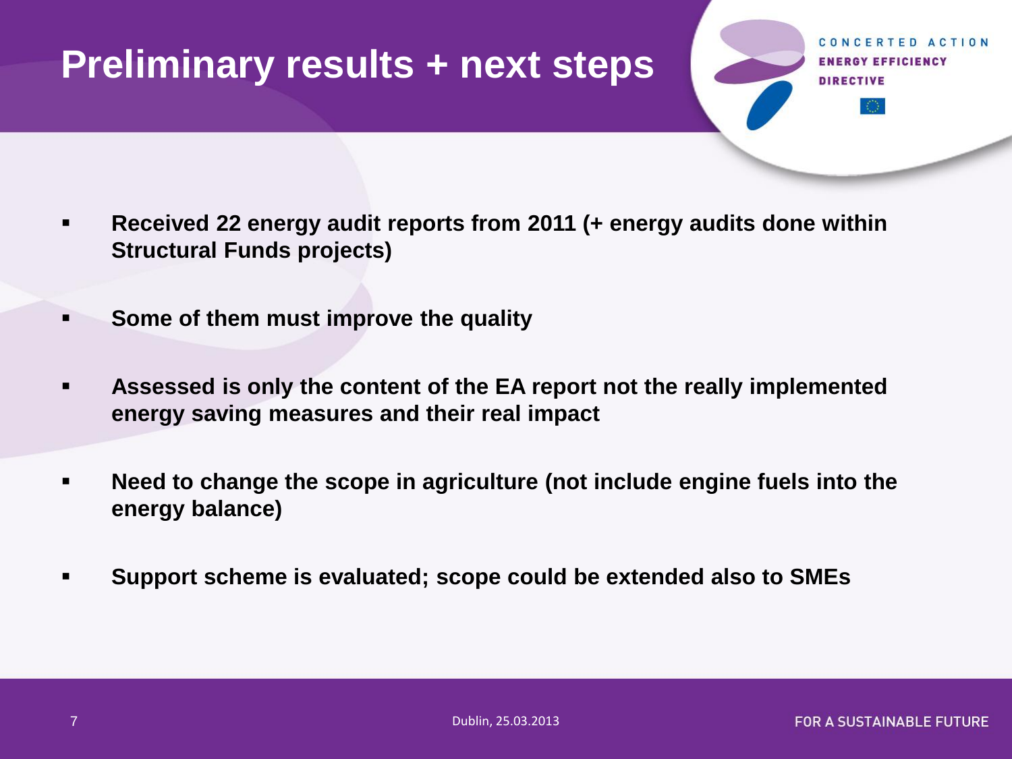#### **Preliminary results + next steps**

*EFFICIENCY* 

- **Received 22 energy audit reports from 2011 (+ energy audits done within Structural Funds projects)**
- **Some of them must improve the quality**
- **Assessed is only the content of the EA report not the really implemented energy saving measures and their real impact**
- **Need to change the scope in agriculture (not include engine fuels into the energy balance)**
- **Support scheme is evaluated; scope could be extended also to SMEs**